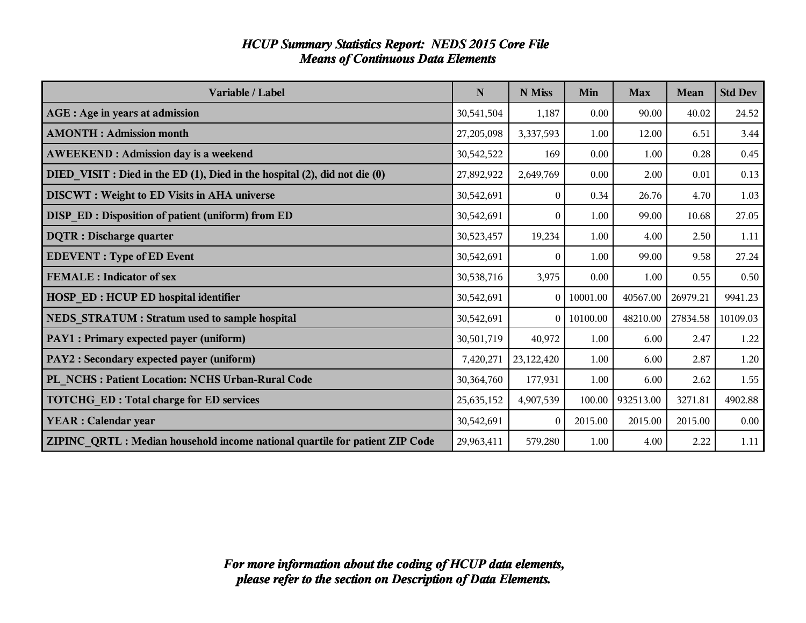| Variable / Label                                                            | N          | N Miss     | Min            | <b>Max</b> | <b>Mean</b> | <b>Std Dev</b> |
|-----------------------------------------------------------------------------|------------|------------|----------------|------------|-------------|----------------|
| <b>AGE</b> : Age in years at admission                                      | 30,541,504 | 1,187      | 0.00           | 90.00      | 40.02       | 24.52          |
| <b>AMONTH: Admission month</b>                                              | 27,205,098 | 3,337,593  | 1.00           | 12.00      | 6.51        | 3.44           |
| <b>AWEEKEND: Admission day is a weekend</b>                                 | 30,542,522 | 169        | 0.00           | 1.00       | 0.28        | 0.45           |
| DIED VISIT : Died in the ED (1), Died in the hospital (2), did not die (0)  | 27,892,922 | 2,649,769  | 0.00           | 2.00       | 0.01        | 0.13           |
| <b>DISCWT</b> : Weight to ED Visits in AHA universe                         | 30,542,691 | $\Omega$   | 0.34           | 26.76      | 4.70        | 1.03           |
| DISP_ED : Disposition of patient (uniform) from ED                          | 30,542,691 | $\theta$   | 1.00           | 99.00      | 10.68       | 27.05          |
| <b>DQTR</b> : Discharge quarter                                             | 30,523,457 | 19,234     | 1.00           | 4.00       | 2.50        | 1.11           |
| <b>EDEVENT</b> : Type of ED Event                                           | 30,542,691 | $\Omega$   | 1.00           | 99.00      | 9.58        | 27.24          |
| <b>FEMALE</b> : Indicator of sex                                            | 30,538,716 | 3,975      | 0.00           | 1.00       | 0.55        | 0.50           |
| <b>HOSP_ED: HCUP ED hospital identifier</b>                                 | 30,542,691 | $\theta$   | 10001.00       | 40567.00   | 26979.21    | 9941.23        |
| NEDS STRATUM : Stratum used to sample hospital                              | 30,542,691 |            | $0$   10100.00 | 48210.00   | 27834.58    | 10109.03       |
| PAY1 : Primary expected payer (uniform)                                     | 30,501,719 | 40,972     | 1.00           | 6.00       | 2.47        | 1.22           |
| PAY2 : Secondary expected payer (uniform)                                   | 7,420,271  | 23,122,420 | 1.00           | 6.00       | 2.87        | 1.20           |
| PL NCHS: Patient Location: NCHS Urban-Rural Code                            | 30,364,760 | 177,931    | 1.00           | 6.00       | 2.62        | 1.55           |
| <b>TOTCHG_ED: Total charge for ED services</b>                              | 25,635,152 | 4,907,539  | 100.00         | 932513.00  | 3271.81     | 4902.88        |
| <b>YEAR</b> : Calendar year                                                 | 30,542,691 | $\sqrt{ }$ | 2015.00        | 2015.00    | 2015.00     | 0.00           |
| ZIPINC QRTL: Median household income national quartile for patient ZIP Code | 29,963,411 | 579,280    | 1.00           | 4.00       | 2.22        | 1.11           |

#### *HCUP Summary Statistics Report: NEDS 2015 Core File Means of Continuous Data Elements*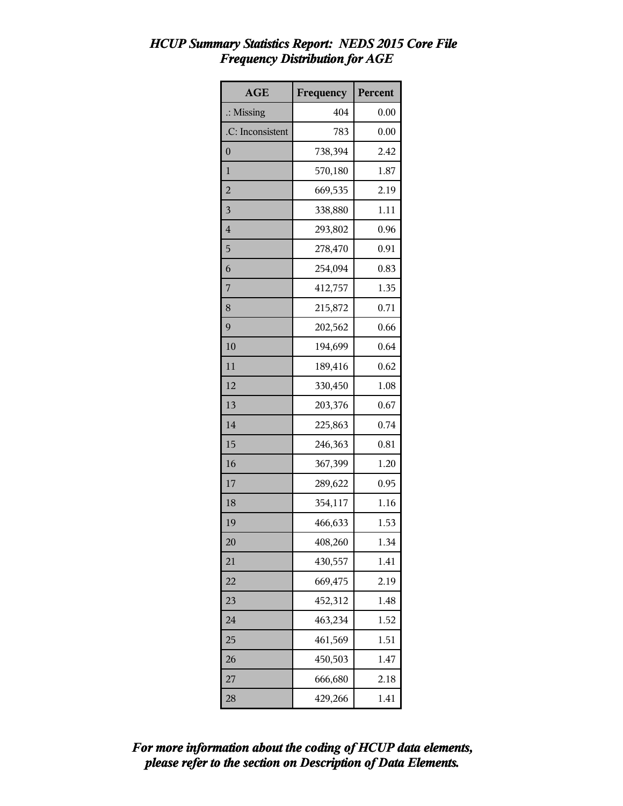# *HCUP Summary Statistics Report: NEDS 2015 Core File Frequency Distribution for AGE*

| <b>AGE</b>           | Frequency | Percent |
|----------------------|-----------|---------|
| $\therefore$ Missing | 404       | 0.00    |
| .C: Inconsistent     | 783       | 0.00    |
| $\overline{0}$       | 738,394   | 2.42    |
| $\mathbf{1}$         | 570,180   | 1.87    |
| $\overline{c}$       | 669,535   | 2.19    |
| 3                    | 338,880   | 1.11    |
| $\overline{4}$       | 293,802   | 0.96    |
| 5                    | 278,470   | 0.91    |
| 6                    | 254,094   | 0.83    |
| 7                    | 412,757   | 1.35    |
| 8                    | 215,872   | 0.71    |
| 9                    | 202,562   | 0.66    |
| 10                   | 194,699   | 0.64    |
| 11                   | 189,416   | 0.62    |
| 12                   | 330,450   | 1.08    |
| 13                   | 203,376   | 0.67    |
| 14                   | 225,863   | 0.74    |
| 15                   | 246,363   | 0.81    |
| 16                   | 367,399   | 1.20    |
| 17                   | 289,622   | 0.95    |
| 18                   | 354,117   | 1.16    |
| 19                   | 466,633   | 1.53    |
| 20                   | 408,260   | 1.34    |
| 21                   | 430,557   | 1.41    |
| 22                   | 669,475   | 2.19    |
| 23                   | 452,312   | 1.48    |
| 24                   | 463,234   | 1.52    |
| 25                   | 461,569   | 1.51    |
| 26                   | 450,503   | 1.47    |
| 27                   | 666,680   | 2.18    |
| 28                   | 429,266   | 1.41    |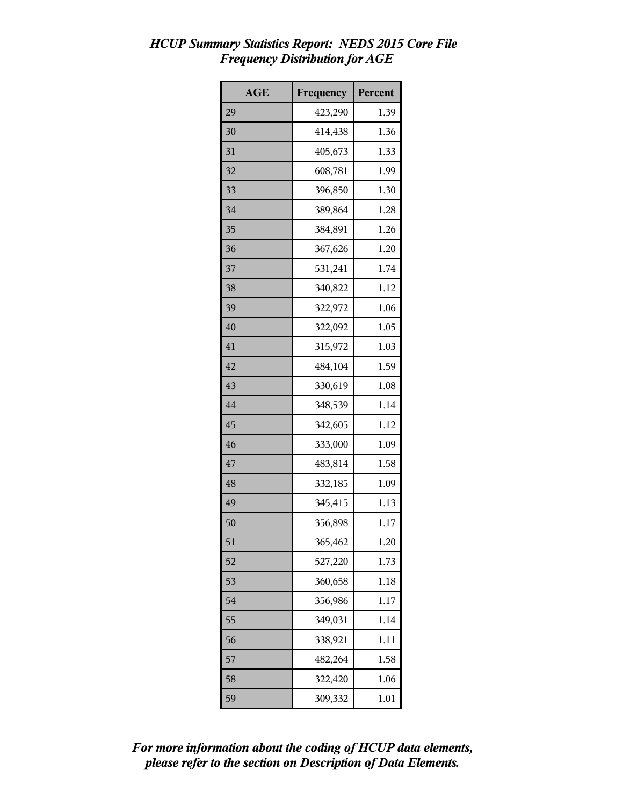# *HCUP Summary Statistics Report: NEDS 2015 Core File Frequency Distribution for AGE*

| <b>AGE</b> | Frequency | <b>Percent</b> |
|------------|-----------|----------------|
| 29         | 423,290   | 1.39           |
| 30         | 414,438   | 1.36           |
| 31         | 405,673   | 1.33           |
| 32         | 608,781   | 1.99           |
| 33         | 396,850   | 1.30           |
| 34         | 389,864   | 1.28           |
| 35         | 384,891   | 1.26           |
| 36         | 367,626   | 1.20           |
| 37         | 531,241   | 1.74           |
| 38         | 340,822   | 1.12           |
| 39         | 322,972   | 1.06           |
| 40         | 322,092   | 1.05           |
| 41         | 315,972   | 1.03           |
| 42         | 484,104   | 1.59           |
| 43         | 330,619   | 1.08           |
| 44         | 348,539   | 1.14           |
| 45         | 342,605   | 1.12           |
| 46         | 333,000   | 1.09           |
| 47         | 483,814   | 1.58           |
| 48         | 332,185   | 1.09           |
| 49         | 345,415   | 1.13           |
| 50         | 356,898   | 1.17           |
| 51         | 365,462   | 1.20           |
| 52         | 527,220   | 1.73           |
| 53         | 360,658   | 1.18           |
| 54         | 356,986   | 1.17           |
| 55         | 349,031   | 1.14           |
| 56         | 338,921   | 1.11           |
| 57         | 482,264   | 1.58           |
| 58         | 322,420   | 1.06           |
| 59         | 309,332   | 1.01           |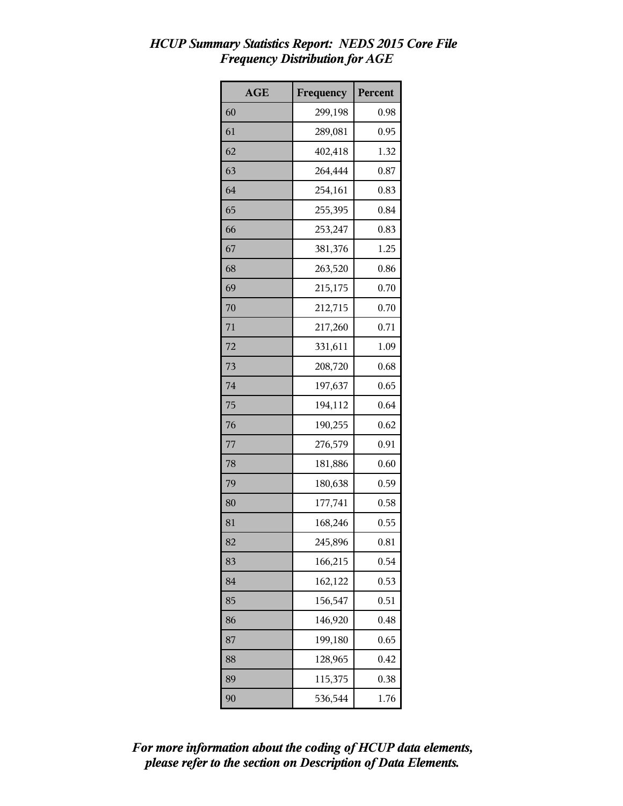# *HCUP Summary Statistics Report: NEDS 2015 Core File Frequency Distribution for AGE*

| <b>AGE</b> | Frequency | Percent |
|------------|-----------|---------|
| 60         | 299,198   | 0.98    |
| 61         | 289,081   | 0.95    |
| 62         | 402,418   | 1.32    |
| 63         | 264,444   | 0.87    |
| 64         | 254,161   | 0.83    |
| 65         | 255,395   | 0.84    |
| 66         | 253,247   | 0.83    |
| 67         | 381,376   | 1.25    |
| 68         | 263,520   | 0.86    |
| 69         | 215,175   | 0.70    |
| 70         | 212,715   | 0.70    |
| 71         | 217,260   | 0.71    |
| 72         | 331,611   | 1.09    |
| 73         | 208,720   | 0.68    |
| 74         | 197,637   | 0.65    |
| 75         | 194,112   | 0.64    |
| 76         | 190,255   | 0.62    |
| 77         | 276,579   | 0.91    |
| 78         | 181,886   | 0.60    |
| 79         | 180,638   | 0.59    |
| 80         | 177,741   | 0.58    |
| 81         | 168,246   | 0.55    |
| 82         | 245,896   | 0.81    |
| 83         | 166,215   | 0.54    |
| 84         | 162,122   | 0.53    |
| 85         | 156,547   | 0.51    |
| 86         | 146,920   | 0.48    |
| 87         | 199,180   | 0.65    |
| 88         | 128,965   | 0.42    |
| 89         | 115,375   | 0.38    |
| 90         | 536,544   | 1.76    |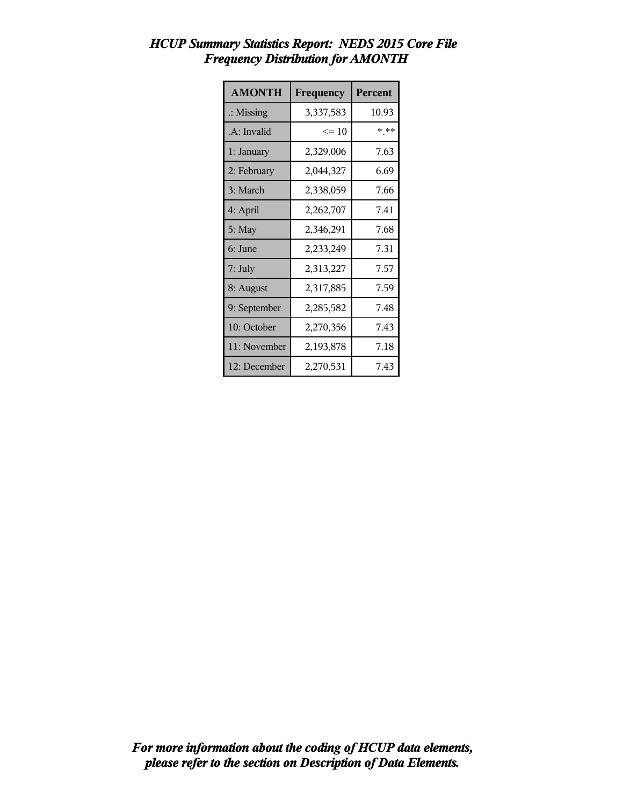| <b>AMONTH</b>        | Frequency | Percent |
|----------------------|-----------|---------|
| $\therefore$ Missing | 3,337,583 | 10.93   |
| .A: Invalid          | $\leq 10$ | * **    |
| 1: January           | 2,329,006 | 7.63    |
| 2: February          | 2,044,327 | 6.69    |
| 3: March             | 2,338,059 | 7.66    |
| 4: April             | 2,262,707 | 7.41    |
| $5:$ May             | 2,346,291 | 7.68    |
| 6: June              | 2,233,249 | 7.31    |
| 7: July              | 2,313,227 | 7.57    |
| 8: August            | 2,317,885 | 7.59    |
| 9: September         | 2,285,582 | 7.48    |
| 10: October          | 2,270,356 | 7.43    |
| 11: November         | 2,193,878 | 7.18    |
| 12: December         | 2,270,531 | 7.43    |

## *HCUP Summary Statistics Report: NEDS 2015 Core File Frequency Distribution for AMONTH*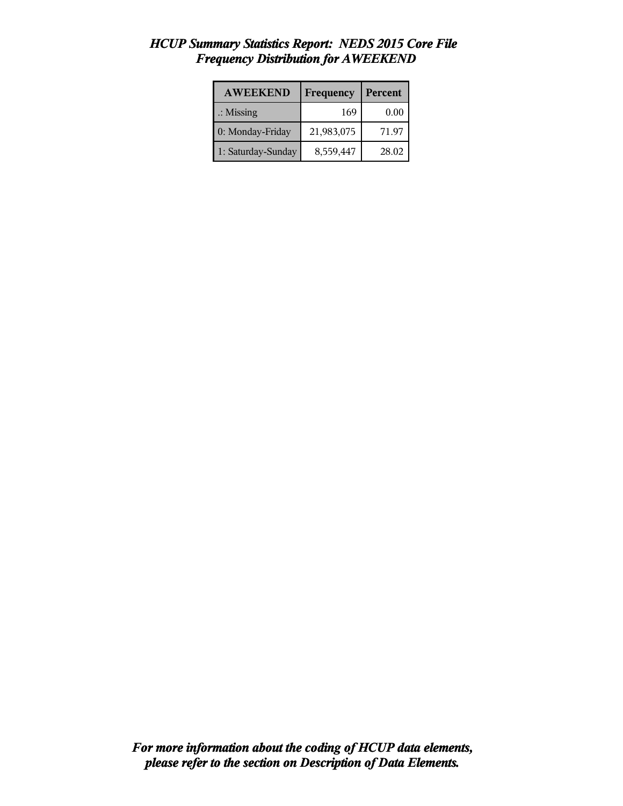| <b>AWEEKEND</b>      | Frequency  | Percent |
|----------------------|------------|---------|
| $\therefore$ Missing | 169        | 0.00    |
| 0: Monday-Friday     | 21,983,075 | 71.97   |
| 1: Saturday-Sunday   | 8,559,447  | 28.02   |

## *HCUP Summary Statistics Report: NEDS 2015 Core File Frequency Distribution for AWEEKEND*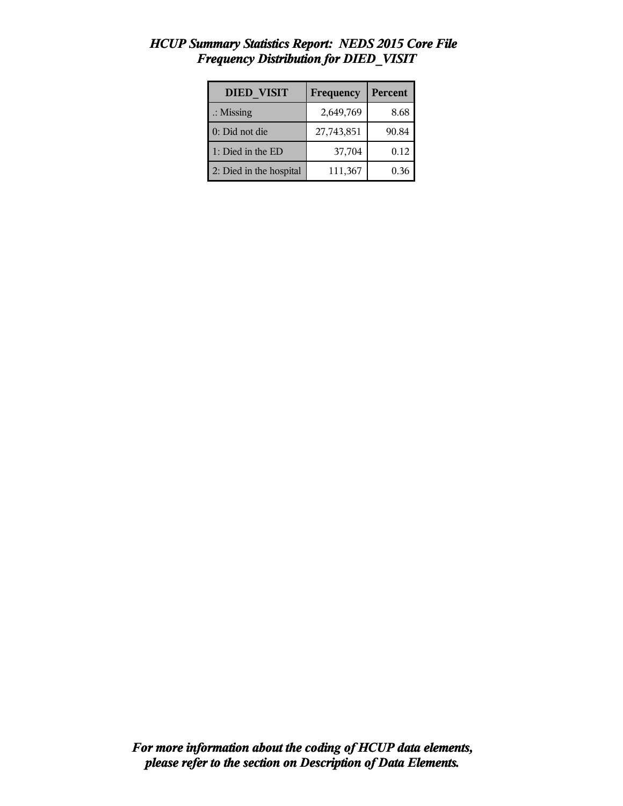| <b>DIED VISIT</b>       | Frequency  | Percent |
|-------------------------|------------|---------|
| $\therefore$ Missing    | 2,649,769  | 8.68    |
| 0: Did not die          | 27,743,851 | 90.84   |
| 1: Died in the ED       | 37,704     | 0.12    |
| 2: Died in the hospital | 111,367    | 0.36    |

# *HCUP Summary Statistics Report: NEDS 2015 Core File Frequency Distribution for DIED\_VISIT*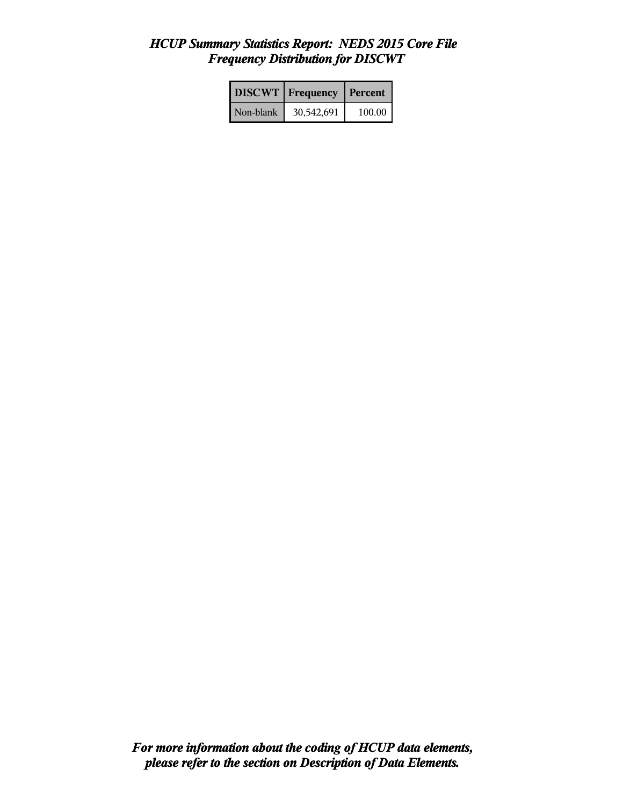## *HCUP Summary Statistics Report: NEDS 2015 Core File Frequency Distribution for DISCWT*

|           | <b>DISCWT</b> Frequency | Percent  |
|-----------|-------------------------|----------|
| Non-blank | 30,542,691              | 100.00 l |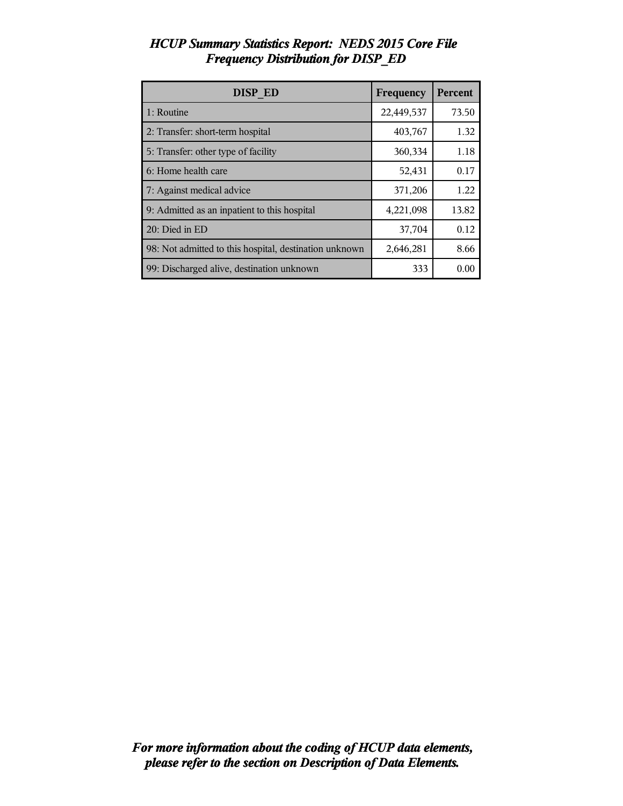| <b>DISP ED</b>                                         | Frequency  | Percent |
|--------------------------------------------------------|------------|---------|
| 1: Routine                                             | 22,449,537 | 73.50   |
| 2: Transfer: short-term hospital                       | 403,767    | 1.32    |
| 5: Transfer: other type of facility                    | 360,334    | 1.18    |
| 6: Home health care                                    | 52,431     | 0.17    |
| 7: Against medical advice                              | 371,206    | 1.22    |
| 9: Admitted as an inpatient to this hospital           | 4,221,098  | 13.82   |
| 20: Died in ED                                         | 37,704     | 0.12    |
| 98: Not admitted to this hospital, destination unknown | 2,646,281  | 8.66    |
| 99: Discharged alive, destination unknown              | 333        | 0.00    |

## *HCUP Summary Statistics Report: NEDS 2015 Core File Frequency Distribution for DISP\_ED*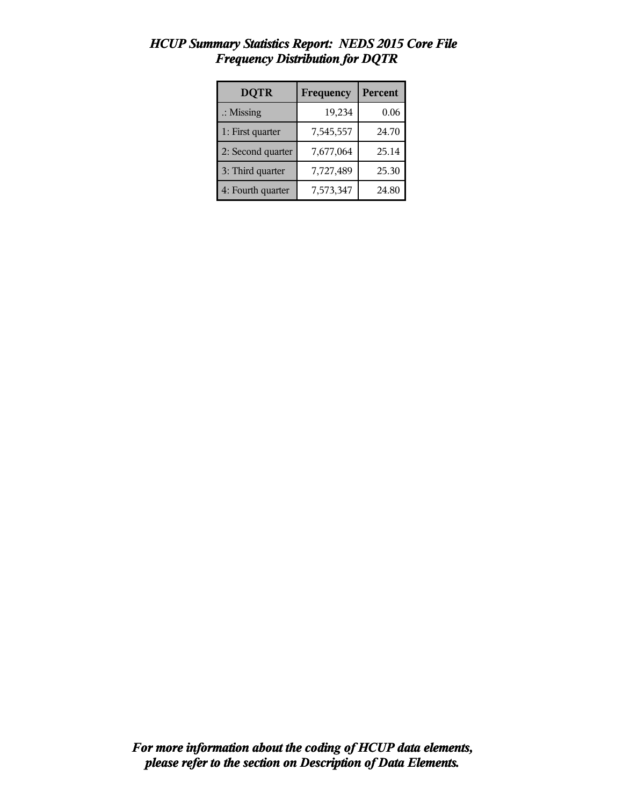| <b>DQTR</b>          | Frequency | Percent |
|----------------------|-----------|---------|
| $\therefore$ Missing | 19,234    | 0.06    |
| 1: First quarter     | 7,545,557 | 24.70   |
| 2: Second quarter    | 7,677,064 | 25.14   |
| 3: Third quarter     | 7,727,489 | 25.30   |
| 4: Fourth quarter    | 7,573,347 | 24.80   |

## *HCUP Summary Statistics Report: NEDS 2015 Core File Frequency Distribution for DQTR*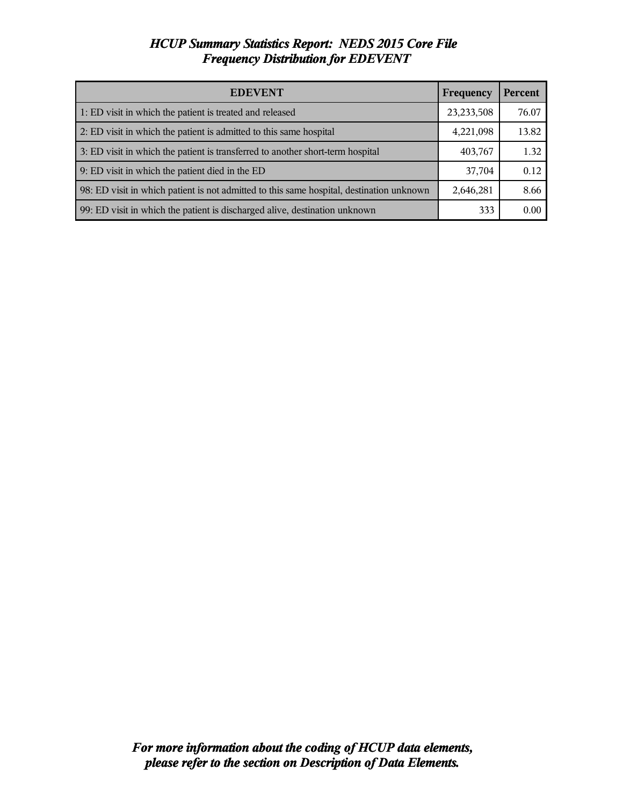### *HCUP Summary Statistics Report: NEDS 2015 Core File Frequency Distribution for EDEVENT*

| <b>EDEVENT</b>                                                                           | Frequency    | <b>Percent</b> |
|------------------------------------------------------------------------------------------|--------------|----------------|
| 1: ED visit in which the patient is treated and released                                 | 23, 233, 508 | 76.07          |
| 2: ED visit in which the patient is admitted to this same hospital                       | 4,221,098    | 13.82          |
| 3: ED visit in which the patient is transferred to another short-term hospital           | 403,767      | 1.32           |
| 9: ED visit in which the patient died in the ED                                          | 37,704       | 0.12           |
| 98: ED visit in which patient is not admitted to this same hospital, destination unknown | 2,646,281    | 8.66           |
| 99: ED visit in which the patient is discharged alive, destination unknown               | 333          | 0.00           |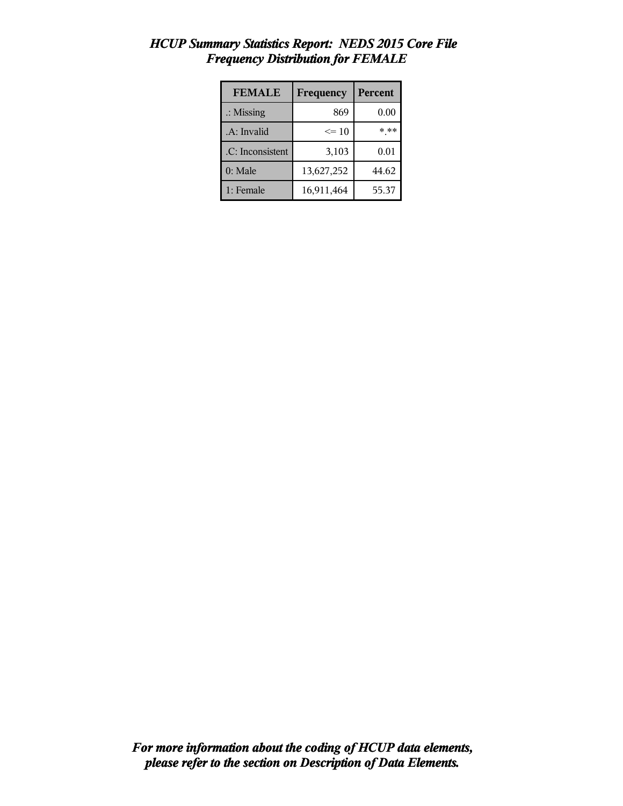| <b>FEMALE</b>        | Frequency  | <b>Percent</b> |
|----------------------|------------|----------------|
| $\therefore$ Missing | 869        | 0.00           |
| .A: Invalid          | $\leq 10$  | * **           |
| .C: Inconsistent     | 3,103      | 0.01           |
| 0: Male              | 13,627,252 | 44.62          |
| 1: Female            | 16,911,464 | 55.37          |

### *HCUP Summary Statistics Report: NEDS 2015 Core File Frequency Distribution for FEMALE*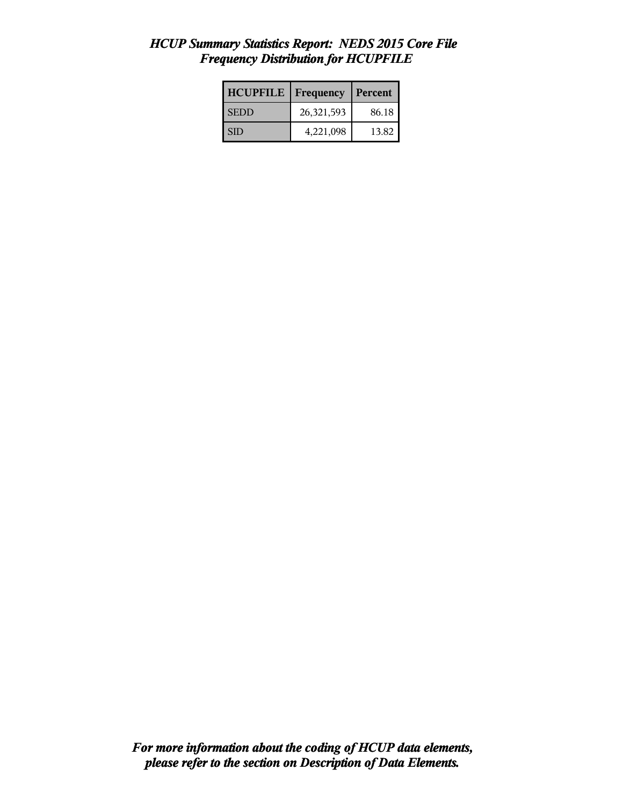### *HCUP Summary Statistics Report: NEDS 2015 Core File Frequency Distribution for HCUPFILE*

| <b>HCUPFILE</b> | <b>Frequency</b> | Percent |
|-----------------|------------------|---------|
| <b>SEDD</b>     | 26,321,593       | 86.18   |
| I SID           | 4,221,098        | 13.82   |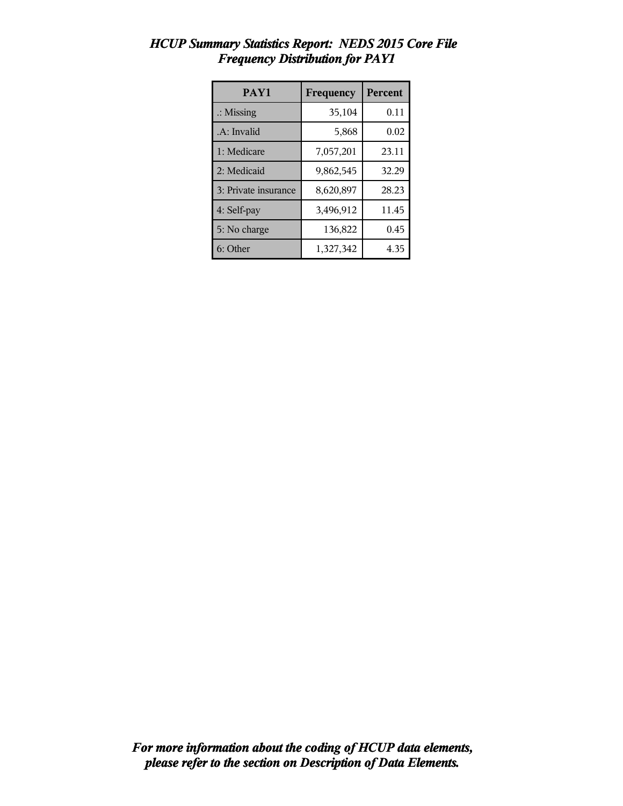| PAY1                 | Frequency | <b>Percent</b> |
|----------------------|-----------|----------------|
| $\therefore$ Missing | 35,104    | 0.11           |
| .A: Invalid          | 5,868     | 0.02           |
| 1: Medicare          | 7,057,201 | 23.11          |
| 2: Medicaid          | 9,862,545 | 32.29          |
| 3: Private insurance | 8,620,897 | 28.23          |
| 4: Self-pay          | 3,496,912 | 11.45          |
| 5: No charge         | 136,822   | 0.45           |
| 6: Other             | 1,327,342 | 4.35           |

## *HCUP Summary Statistics Report: NEDS 2015 Core File Frequency Distribution for PAY1*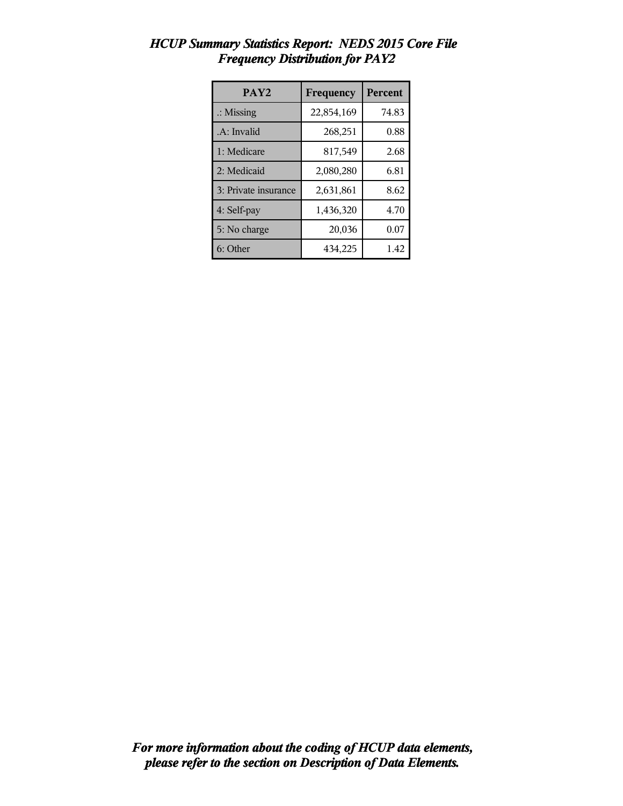| PAY <sub>2</sub>     | Frequency  | <b>Percent</b> |
|----------------------|------------|----------------|
| $\therefore$ Missing | 22,854,169 | 74.83          |
| .A: Invalid          | 268,251    | 0.88           |
| 1: Medicare          | 817,549    | 2.68           |
| 2: Medicaid          | 2,080,280  | 6.81           |
| 3: Private insurance | 2,631,861  | 8.62           |
| 4: Self-pay          | 1,436,320  | 4.70           |
| 5: No charge         | 20,036     | 0.07           |
| 6: Other             | 434,225    | 1.42           |

## *HCUP Summary Statistics Report: NEDS 2015 Core File Frequency Distribution for PAY2*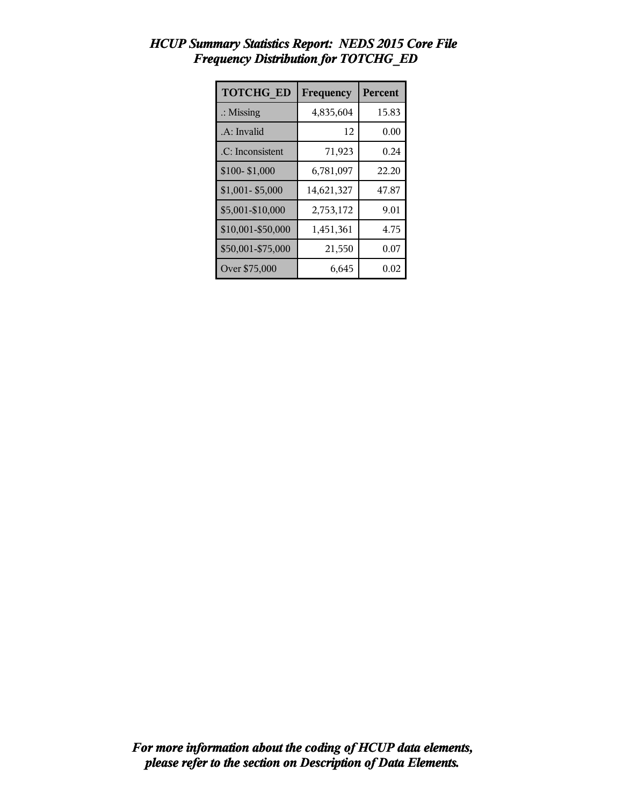| <b>TOTCHG ED</b>     | Frequency  | Percent |
|----------------------|------------|---------|
| $\therefore$ Missing | 4,835,604  | 15.83   |
| .A: Invalid          | 12         | 0.00    |
| .C: Inconsistent     | 71,923     | 0.24    |
| \$100-\$1,000        | 6,781,097  | 22.20   |
| $$1,001 - $5,000$    | 14,621,327 | 47.87   |
| \$5,001-\$10,000     | 2,753,172  | 9.01    |
| \$10,001-\$50,000    | 1,451,361  | 4.75    |
| \$50,001-\$75,000    | 21,550     | 0.07    |
| Over \$75,000        | 6,645      | 0.02    |

## *HCUP Summary Statistics Report: NEDS 2015 Core File Frequency Distribution for TOTCHG\_ED*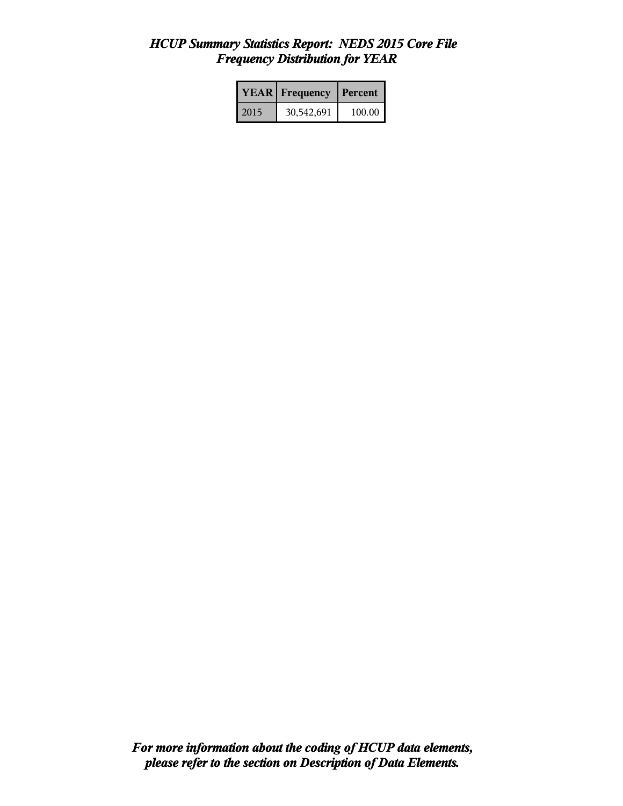## *HCUP Summary Statistics Report: NEDS 2015 Core File Frequency Distribution for YEAR*

|      | <b>YEAR</b> Frequency | <b>Percent</b> |
|------|-----------------------|----------------|
| 2015 | 30,542,691            | 100.00         |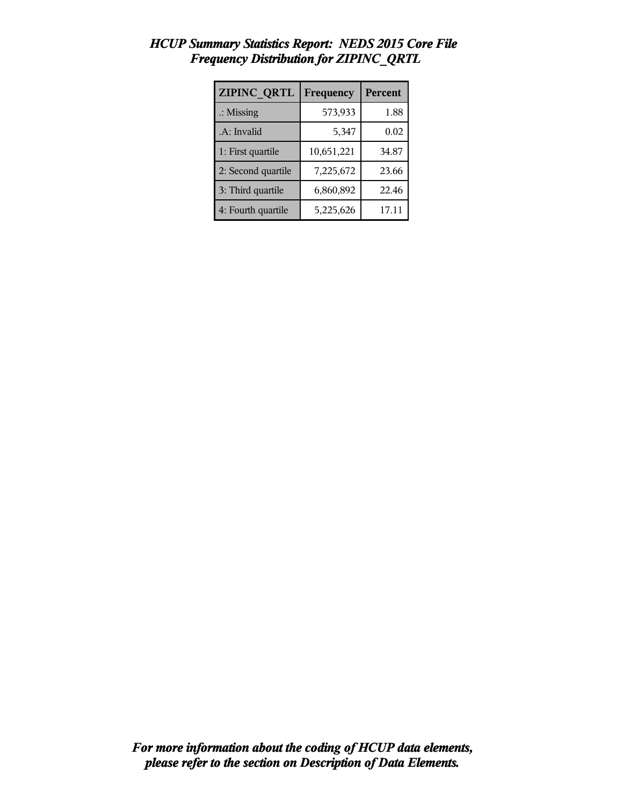| <b>ZIPINC QRTL</b>   | Frequency  | <b>Percent</b> |
|----------------------|------------|----------------|
| $\therefore$ Missing | 573,933    | 1.88           |
| .A: Invalid          | 5,347      | 0.02           |
| 1: First quartile    | 10,651,221 | 34.87          |
| 2: Second quartile   | 7,225,672  | 23.66          |
| 3: Third quartile    | 6,860,892  | 22.46          |
| 4: Fourth quartile   | 5,225,626  | 17.11          |

# *HCUP Summary Statistics Report: NEDS 2015 Core File Frequency Distribution for ZIPINC\_QRTL*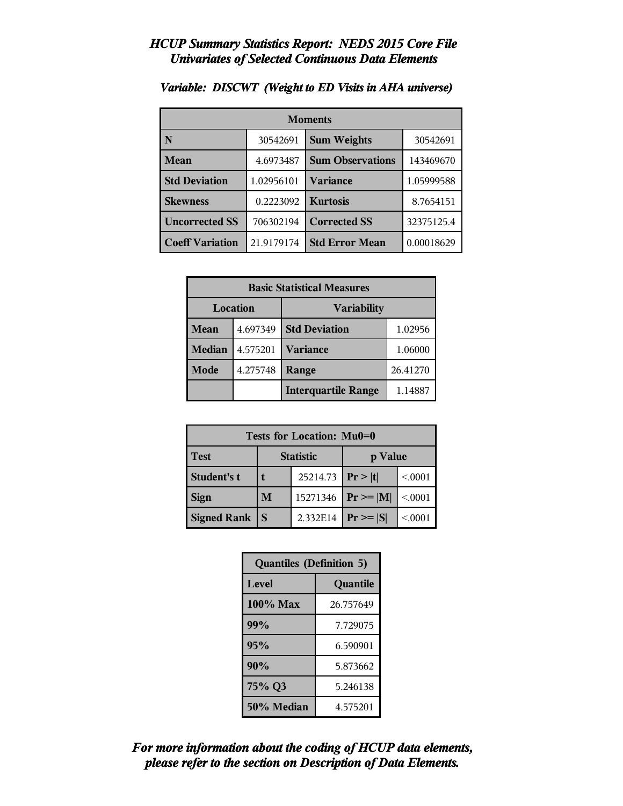| <b>Moments</b>         |            |                         |            |  |
|------------------------|------------|-------------------------|------------|--|
| N                      | 30542691   | <b>Sum Weights</b>      | 30542691   |  |
| Mean                   | 4.6973487  | <b>Sum Observations</b> | 143469670  |  |
| <b>Std Deviation</b>   | 1.02956101 | <b>Variance</b>         | 1.05999588 |  |
| <b>Skewness</b>        | 0.2223092  | <b>Kurtosis</b>         | 8.7654151  |  |
| <b>Uncorrected SS</b>  | 706302194  | <b>Corrected SS</b>     | 32375125.4 |  |
| <b>Coeff Variation</b> | 21.9179174 | <b>Std Error Mean</b>   | 0.00018629 |  |

#### *Variable: DISCWT (Weight to ED Visits in AHA universe)*

| <b>Basic Statistical Measures</b> |          |                            |          |
|-----------------------------------|----------|----------------------------|----------|
| Location<br><b>Variability</b>    |          |                            |          |
| Mean                              | 4.697349 | <b>Std Deviation</b>       | 1.02956  |
| <b>Median</b>                     | 4.575201 | <b>Variance</b>            | 1.06000  |
| Mode                              | 4.275748 | Range                      | 26.41270 |
|                                   |          | <b>Interquartile Range</b> | 1.14887  |

| <b>Tests for Location: Mu0=0</b> |                             |                    |                |         |  |
|----------------------------------|-----------------------------|--------------------|----------------|---------|--|
| <b>Test</b>                      | <b>Statistic</b><br>p Value |                    |                |         |  |
| Student's t                      |                             | 25214.73 $ Pr> t $ |                | < 0001  |  |
| <b>Sign</b>                      | M<br>15271346               |                    | $P_r \geq  M $ | < 0001  |  |
| <b>Signed Rank</b>               | S                           | 2.332E14           | $Pr \geq  S $  | < 0.001 |  |

| <b>Quantiles (Definition 5)</b> |           |  |
|---------------------------------|-----------|--|
| Level<br>Quantile               |           |  |
| 100% Max                        | 26.757649 |  |
| 99%                             | 7.729075  |  |
| 95%                             | 6.590901  |  |
| 90%                             | 5.873662  |  |
| 75% Q3                          | 5.246138  |  |
| 50% Median                      | 4.575201  |  |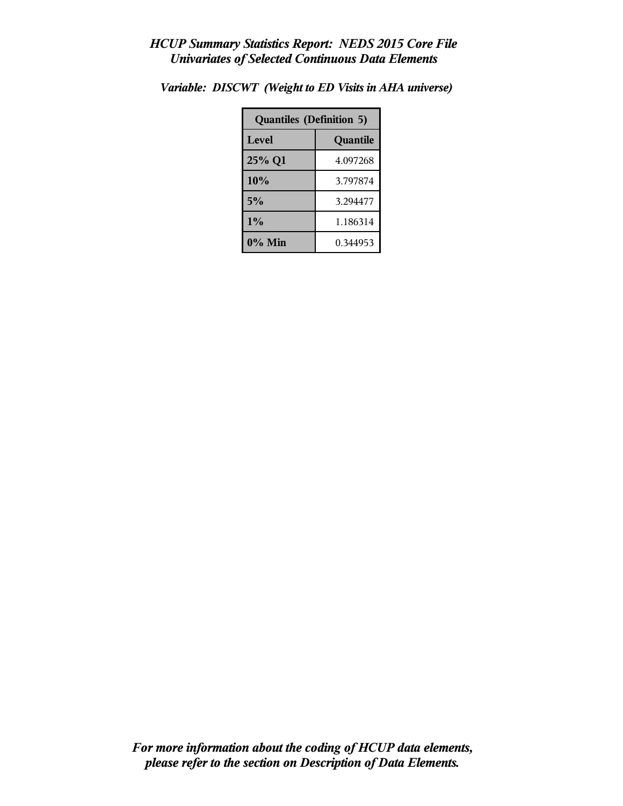| <b>Quantiles (Definition 5)</b> |          |  |
|---------------------------------|----------|--|
| Level                           | Quantile |  |
| 25% Q1                          | 4.097268 |  |
| 10%                             | 3.797874 |  |
| 5%                              | 3.294477 |  |
| $1\%$                           | 1.186314 |  |
| $0\%$ Min                       | 0.344953 |  |

*Variable: DISCWT (Weight to ED Visits in AHA universe)*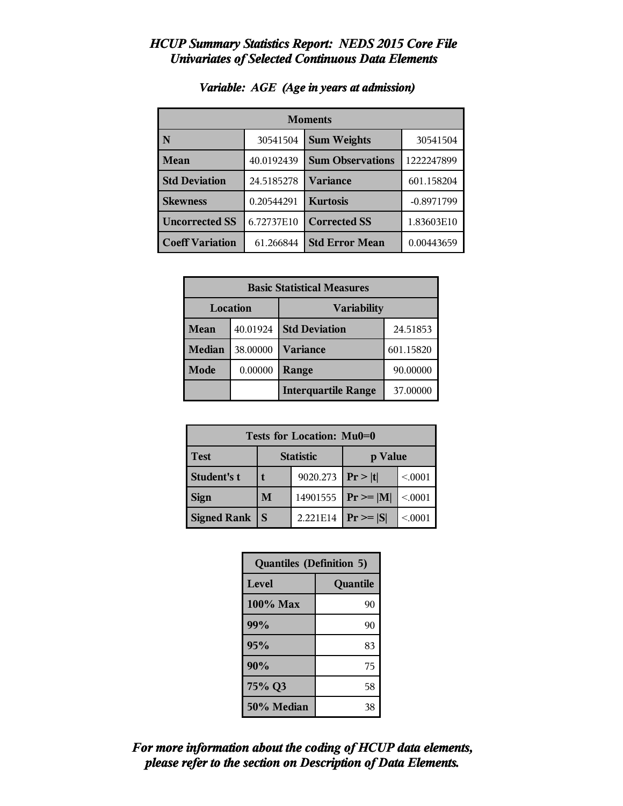| <b>Moments</b>         |            |                                |              |  |
|------------------------|------------|--------------------------------|--------------|--|
| N                      | 30541504   | <b>Sum Weights</b><br>30541504 |              |  |
| Mean                   | 40.0192439 | <b>Sum Observations</b>        | 1222247899   |  |
| <b>Std Deviation</b>   | 24.5185278 | Variance                       | 601.158204   |  |
| <b>Skewness</b>        | 0.20544291 | <b>Kurtosis</b>                | $-0.8971799$ |  |
| <b>Uncorrected SS</b>  | 6.72737E10 | <b>Corrected SS</b>            | 1.83603E10   |  |
| <b>Coeff Variation</b> | 61.266844  | <b>Std Error Mean</b>          | 0.00443659   |  |

#### *Variable: AGE (Age in years at admission)*

| <b>Basic Statistical Measures</b> |          |                            |           |  |
|-----------------------------------|----------|----------------------------|-----------|--|
| Location<br><b>Variability</b>    |          |                            |           |  |
| <b>Mean</b>                       | 40.01924 | <b>Std Deviation</b>       | 24.51853  |  |
| <b>Median</b>                     | 38.00000 | <b>Variance</b>            | 601.15820 |  |
| <b>Mode</b>                       | 0.00000  | Range                      | 90.00000  |  |
|                                   |          | <b>Interquartile Range</b> | 37.00000  |  |

| Tests for Location: Mu0=0 |   |                  |                 |        |  |
|---------------------------|---|------------------|-----------------|--------|--|
| <b>Test</b>               |   | <b>Statistic</b> | p Value         |        |  |
| <b>Student's t</b>        |   | 9020.273         | Pr >  t         | < 0001 |  |
| <b>Sign</b>               | M | 14901555         | $ Pr \ge =  M $ | < 0001 |  |
| <b>Signed Rank</b>        | S | 2.221E14         | $Pr \geq  S $   | < 0001 |  |

| <b>Quantiles (Definition 5)</b> |          |
|---------------------------------|----------|
| Level                           | Quantile |
| 100% Max                        | 90       |
| 99%                             | 90       |
| 95%                             | 83       |
| 90%                             | 75       |
| 75% Q3                          | 58       |
| 50% Median                      | 38       |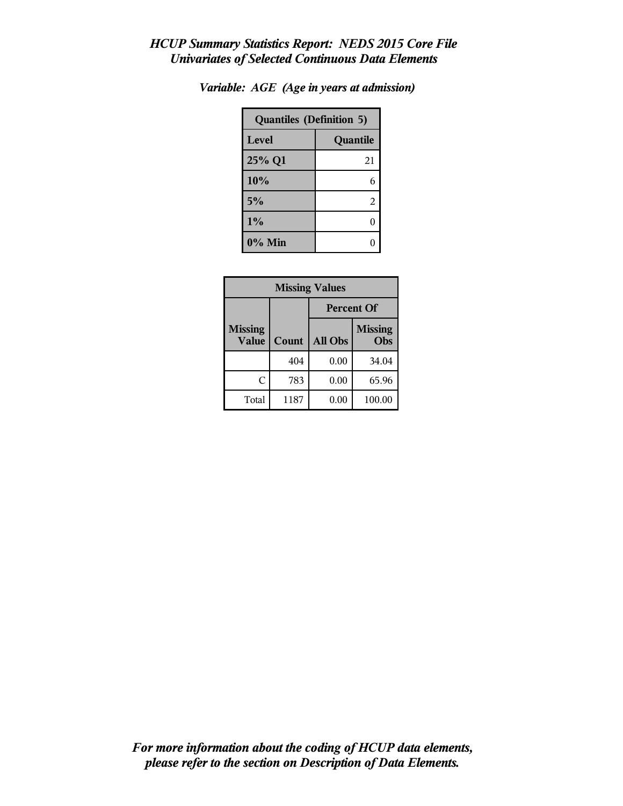| <b>Quantiles (Definition 5)</b> |          |  |
|---------------------------------|----------|--|
| Level                           | Quantile |  |
| 25% Q1                          | 21       |  |
| 10%                             | 6        |  |
| 5%                              | 2        |  |
| $1\%$                           | ſ        |  |
| 0% Min                          |          |  |

| Variable: AGE (Age in years at admission) |  |  |  |  |  |  |
|-------------------------------------------|--|--|--|--|--|--|
|-------------------------------------------|--|--|--|--|--|--|

| <b>Missing Values</b>          |       |                   |                       |  |
|--------------------------------|-------|-------------------|-----------------------|--|
|                                |       | <b>Percent Of</b> |                       |  |
| <b>Missing</b><br><b>Value</b> | Count | All Obs           | <b>Missing</b><br>Obs |  |
|                                | 404   | 0.00              | 34.04                 |  |
| C                              | 783   | 0.00              | 65.96                 |  |
| Total                          | 1187  | 0.00              | 100.00                |  |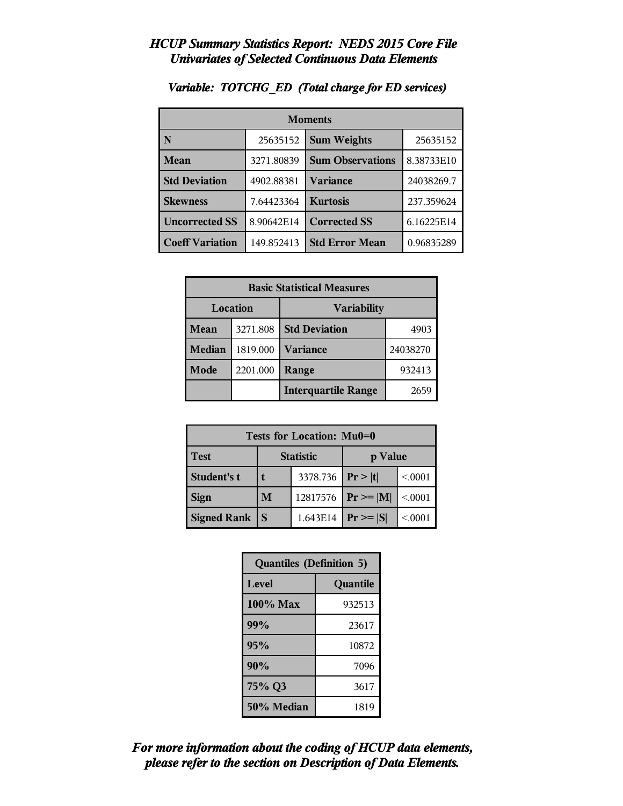| <b>Moments</b>         |            |                         |            |  |
|------------------------|------------|-------------------------|------------|--|
| N                      | 25635152   | <b>Sum Weights</b>      | 25635152   |  |
| <b>Mean</b>            | 3271.80839 | <b>Sum Observations</b> | 8.38733E10 |  |
| <b>Std Deviation</b>   | 4902.88381 | Variance                | 24038269.7 |  |
| <b>Skewness</b>        | 7.64423364 | <b>Kurtosis</b>         | 237.359624 |  |
| <b>Uncorrected SS</b>  | 8.90642E14 | <b>Corrected SS</b>     | 6.16225E14 |  |
| <b>Coeff Variation</b> | 149.852413 | <b>Std Error Mean</b>   | 0.96835289 |  |

#### *Variable: TOTCHG\_ED (Total charge for ED services)*

| <b>Basic Statistical Measures</b> |          |                            |          |  |
|-----------------------------------|----------|----------------------------|----------|--|
| Location<br><b>Variability</b>    |          |                            |          |  |
| <b>Mean</b>                       | 3271.808 | <b>Std Deviation</b>       | 4903     |  |
| <b>Median</b>                     | 1819.000 | <b>Variance</b>            | 24038270 |  |
| <b>Mode</b>                       | 2201.000 | Range                      | 932413   |  |
|                                   |          | <b>Interquartile Range</b> | 2659     |  |

| <b>Tests for Location: Mu0=0</b> |   |                    |                |         |  |
|----------------------------------|---|--------------------|----------------|---------|--|
| <b>Test</b>                      |   | <b>Statistic</b>   | p Value        |         |  |
| Student's t                      |   | 3378.736 $ Pr> t $ |                | < 0001  |  |
| <b>Sign</b>                      | M | 12817576           | $P_r \geq  M $ | < 0001  |  |
| <b>Signed Rank</b>               | S | 1.643E14           | $Pr \geq  S $  | < 0.001 |  |

| <b>Quantiles (Definition 5)</b> |          |
|---------------------------------|----------|
| Level                           | Quantile |
| 100% Max                        | 932513   |
| 99%                             | 23617    |
| 95%                             | 10872    |
| 90%                             | 7096     |
| 75% Q3                          | 3617     |
| 50% Median                      | 1819     |